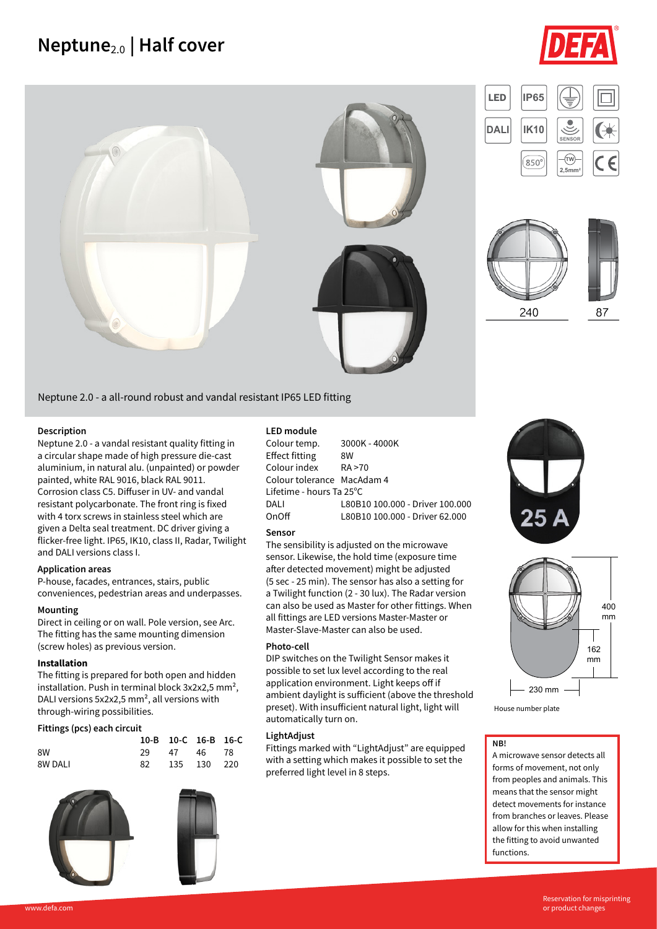## **Neptune**2.0 **| Half cover**











Neptune 2.0 - a all-round robust and vandal resistant IP65 LED fitting

#### **Description**

Neptune 2.0 - a vandal resistant quality fitting in a circular shape made of high pressure die-cast aluminium, in natural alu. (unpainted) or powder painted, white RAL 9016, black RAL 9011. Corrosion class C5. Diffuser in UV- and vandal resistant polycarbonate. The front ring is fixed with 4 torx screws in stainless steel which are given a Delta seal treatment. DC driver giving a flicker-free light. IP65, IK10, class II, Radar, Twilight and DALI versions class I.

#### **Application areas**

P-house, facades, entrances, stairs, public conveniences, pedestrian areas and underpasses.

#### **Mounting**

Direct in ceiling or on wall. Pole version, see Arc. The fitting has the same mounting dimension (screw holes) as previous version.

#### **Installation**

The fitting is prepared for both open and hidden installation. Push in terminal block 3x2x2,5 mm², DALI versions 5x2x2,5 mm², all versions with through-wiring possibilities.

#### **Fittings (pcs) each circuit**

|         |      | 10-B 10-C 16-B 16-C |  |
|---------|------|---------------------|--|
| 8W      |      | 29 47 46 78         |  |
| 8W DALI | - 82 | 135 130 220         |  |





#### **LED module**

Colour temp. 3000K - 4000K Effect fitting 8W Colour index RA >70 Colour tolerance MacAdam 4 Lifetime - hours Ta 25°C DALI L80B10 100.000 - Driver 100.000<br>OnOff L80B10 100.000 - Driver 62.000 L80B10 100.000 - Driver 62.000

#### **Sensor**

The sensibility is adjusted on the microwave sensor. Likewise, the hold time (exposure time after detected movement) might be adjusted (5 sec - 25 min). The sensor has also a setting for a Twilight function (2 - 30 lux). The Radar version can also be used as Master for other fittings. When all fittings are LED versions Master-Master or Master-Slave-Master can also be used.

#### **Photo-cell**

DIP switches on the Twilight Sensor makes it possible to set lux level according to the real application environment. Light keeps off if ambient daylight is sufficient (above the threshold preset). With insufficient natural light, light will automatically turn on.

#### **LightAdjust**

Fittings marked with "LightAdjust" are equipped with a setting which makes it possible to set the preferred light level in 8 steps.





House number plate

#### **NB!**

A microwave sensor detects all forms of movement, not only from peoples and animals. This means that the sensor might detect movements for instance from branches or leaves. Please allow for this when installing the fitting to avoid unwanted functions.